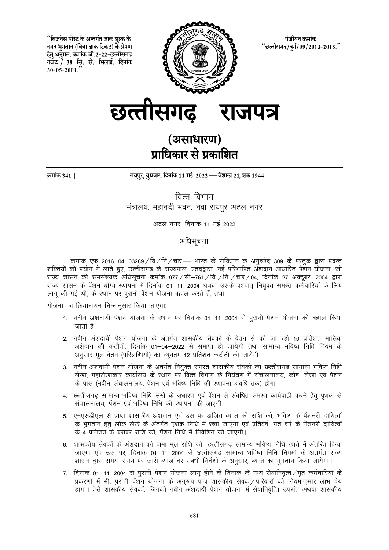"बिजनेस पोस्ट के अन्तर्गत डाक शुल्क के नगद भुगतान (बिना डाक टिकट) के प्रेषण हेतु अनुमत. क्रमांक जी.2-22-छत्तीसगढ गजट / 38 सि. से. भिलाई. दिनांक  $30 - 05 - 2001$ .



पंजीयन क्रमांक "छत्तीसगढ़/दुर्ग/09/2013-2015."



# (असाधारण) प्राधिकार से प्रकाशित

क्रमांक 341 ]

रायपुर, बुधवार, दिनांक 11 मई 2022 — वैशाख 21, शक 1944

वित्त विभाग मंत्रालय, महानदी भवन, नवा रायपुर अटल नगर

अटल नगर, दिनांक 11 मई 2022

अधिसूचना

क्रमांक एफ 2016-04-03289 / वि / नि / चार. - भारत के संविधान के अनुच्छेद 309 के परंतुक द्वारा प्रदत्त शक्तियों को प्रयोग में लाते हुए, छत्तीसगढ के राज्यपाल, एतदद्वारा, नई परिभाषित अँशदान आधारित पेंशन योजना, जो राज्य शासन की समसंख्यक अधिसूचना क्रमांक 977 / सी–761 / वि. / नि. / चार / 04, दिनांक 27 अक्टूबर, 2004 द्वारा राज्य शासन के पेंशन योग्य स्थापना में दिनांक 01–11–2004 अथवा उसके पश्चात नियुक्त समस्त कर्मचारियों के लिये लागू की गई थी, के स्थान पर पुरानी पेंशन योजना बहाल करते हैं, तथा

योजना का क्रियान्वयन निम्नानसार किया जाएगाः–

- 1. नवीन अंशदायी पेंशन योजना के स्थान पर दिनांक 01-11-2004 से पुरानी पेंशन योजना को बहाल किया जाता है।
- 2. नवीन अंशदायी पेंशन योजना के अंतर्गत शासकीय सेवकों के वेतन से की जा रही 10 प्रतिशत मासिक अशंदान की कटौती, दिनांक 01–04–2022 से समाप्त हो जायेगी तथा सामान्य भविष्य निधि नियम के अनुसार मूल वेतन (परिलब्धियॉ) का न्यूनतम 12 प्रतिशत कटौती की जायेगी।
- 3. नवीन अंशदायी पेंशन योजना के अंतर्गत नियुक्त समस्त शासकीय सेवकों का छत्तीसगढ़ सामान्य भविष्य निधि लेखा, महालेखाकार कार्यालय के स्थान पर वित्त विभाग के नियंत्रण में संचालनालय, कोष, लेखा एवं पेंशन के पास (नवीन संचालनालय, पेंशन एवं भविष्य निधि की स्थापना अवधि तक) होगा।
- 4. छत्तीसगढ़ सामान्य भविष्य निधि लेखे के संधारण एवं पेंशन से संबंधित समस्त कार्यवाही करने हेतु पृथक से संचालनालय, पेंशन एवं भविष्य निधि की स्थापना की जाएगी।
- 5. एनएसडीएल से प्राप्त शासकीय अंशदान एवं उस पर अर्जित ब्याज की राशि को, भविष्य के पेंशनरी दायित्वों के भुगतान हेतू लोक लेखे के अंतर्गत पृथक निधि में रखा जाएगा एवं प्रतिवर्ष, गत वर्ष के पेंशनरी दायित्वों के 4 प्रतिशत के बराबर राशि को, पेंशन निधि में निवेशित की जाएगी।
- 6. शासकीय सेवकों के अंशदान की जमा मूल राशि को, छत्तीसगढ सामान्य भविष्य निधि खाते में अंतरित किया जाएगा एवं उस पर, दिनांक 01–11–2004 से छत्तीसगढ सामान्य भविष्य निधि नियमों के अंतर्गत राज्य शासन द्वारा समय-समय पर जारी ब्याज दर संबंधी निर्देशों के अनुसार, ब्याज का भूगतान किया जायेगा।
- 7. दिनांक 01-11-2004 से पुरानी पेंशन योजना लागू होने के दिनांक के मध्य सेवानिवृत्त/मृत कर्मचारियों के प्रकरणों में भी, पुरानी पेंशन योजना के अनुरूप पात्र शासकीय सेवक / परिवारों को नियमानुसार लाभ देय होगा। ऐसे शासकीय सेवकों, जिनको नवीन अंशदायी पेंशन योजना में सेवानिवृत्ति उपरांत अथवा शासकीय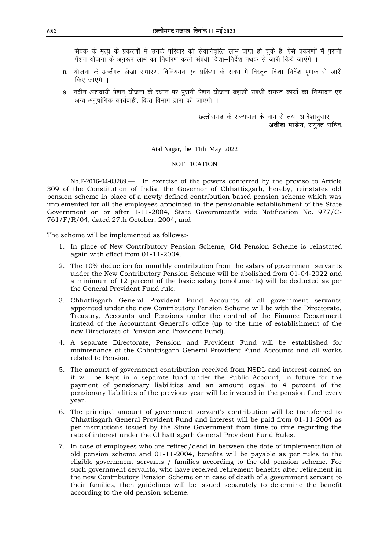सेवक के मृत्यू के प्रकरणों में उनके परिवार को सेवानिवृत्ति लाभ प्राप्त हो चुके है, ऐसे प्रकरणों में पूरानी पेशन योजना के अनुरूप लाभ का निर्धारण करने संबंधी दिशा—निर्देश पृथक से जारी किये जाएंगे ।

- 8. योजना के अर्न्तगत लेखा संधारण. विनियमन एवं प्रक्रिया के संबंध में विस्तत दिशा—निर्देश पथक से जारी किए जाएंगे ।
- 9. नवीन अंशदायी पेंशन योजना के स्थान पर पुरानी पेंशन योजना बहाली संबंधी समस्त कार्यों का निष्पादन एवं अन्य अनुषांगिक कार्यवाही, वित्त विभाग द्वारा की जाएगी ।

छत्तीसगढ के राज्यपाल के नाम से तथा आदेशानुसार, **अतीश पाडेय**, संयुक्त सचिव.

Atal Nagar, the 11th May 2022

## **NOTIFICATION**

No.F-2016-04-03289.⸺ In exercise of the powers conferred by the proviso to Article 309 of the Constitution of India, the Governor of Chhattisgarh, hereby, reinstates old pension scheme in place of a newly defined contribution based pension scheme which was implemented for all the employees appointed in the pensionable establishment of the State Government on or after 1-11-2004, State Government's vide Notification No. 977/C-761/F/R/04, dated 27th October, 2004, and

The scheme will be implemented as follows:-

- 1. In place of New Contributory Pension Scheme, Old Pension Scheme is reinstated again with effect from 01-11-2004.
- 2. The 10% deduction for monthly contribution from the salary of government servants under the New Contributory Pension Scheme will be abolished from 01-04-2022 and a minimum of 12 percent of the basic salary (emoluments) will be deducted as per the General Provident Fund rule.
- 3. Chhattisgarh General Provident Fund Accounts of all government servants appointed under the new Contributory Pension Scheme will be with the Directorate, Treasury, Accounts and Pensions under the control of the Finance Department instead of the Accountant General's office (up to the time of establishment of the new Directorate of Pension and Provident Fund).
- 4. A separate Directorate, Pension and Provident Fund will be established for maintenance of the Chhattisgarh General Provident Fund Accounts and all works related to Pension.
- 5. The amount of government contribution received from NSDL and interest earned on it will be kept in a separate fund under the Public Account, in future for the payment of pensionary liabilities and an amount equal to 4 percent of the pensionary liabilities of the previous year will be invested in the pension fund every year.
- 6. The principal amount of government servant's contribution will be transferred to Chhattisgarh General Provident Fund and interest will be paid from 01-11-2004 as per instructions issued by the State Government from time to time regarding the rate of interest under the Chhattisgarh General Provident Fund Rules.
- 7. In case of employees who are retired/dead in between the date of implementation of old pension scheme and 01-11-2004, benefits will be payable as per rules to the eligible government servants / families according to the old pension scheme. For such government servants, who have received retirement benefits after retirement in the new Contributory Pension Scheme or in case of death of a government servant to their families, then guidelines will be issued separately to determine the benefit according to the old pension scheme.